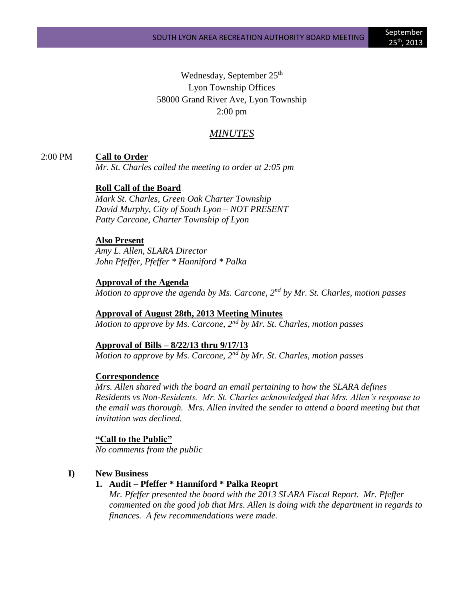Wednesday, September 25<sup>th</sup> Lyon Township Offices 58000 Grand River Ave, Lyon Township 2:00 pm

# *MINUTES*

2:00 PM **Call to Order**

*Mr. St. Charles called the meeting to order at 2:05 pm*

**Roll Call of the Board**

*Mark St. Charles, Green Oak Charter Township David Murphy, City of South Lyon – NOT PRESENT Patty Carcone, Charter Township of Lyon* 

#### **Also Present**

*Amy L. Allen, SLARA Director John Pfeffer, Pfeffer \* Hanniford \* Palka*

#### **Approval of the Agenda**

*Motion to approve the agenda by Ms. Carcone, 2nd by Mr. St. Charles, motion passes*

**Approval of August 28th, 2013 Meeting Minutes** *Motion to approve by Ms. Carcone, 2nd by Mr. St. Charles, motion passes*

#### **Approval of Bills – 8/22/13 thru 9/17/13**

*Motion to approve by Ms. Carcone, 2nd by Mr. St. Charles, motion passes*

### **Correspondence**

*Mrs. Allen shared with the board an email pertaining to how the SLARA defines Residents vs Non-Residents. Mr. St. Charles acknowledged that Mrs. Allen's response to the email was thorough. Mrs. Allen invited the sender to attend a board meeting but that invitation was declined.*

### **"Call to the Public"**

*No comments from the public*

#### **I) New Business**

### **1. Audit – Pfeffer \* Hanniford \* Palka Reoprt**

*Mr. Pfeffer presented the board with the 2013 SLARA Fiscal Report. Mr. Pfeffer commented on the good job that Mrs. Allen is doing with the department in regards to finances. A few recommendations were made.*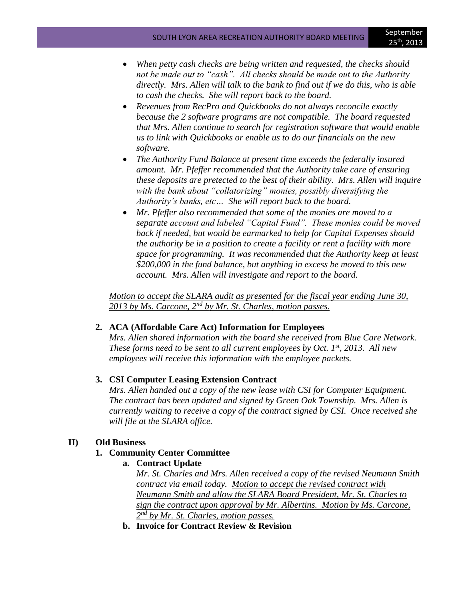- *When petty cash checks are being written and requested, the checks should not be made out to "cash". All checks should be made out to the Authority directly. Mrs. Allen will talk to the bank to find out if we do this, who is able to cash the checks. She will report back to the board.*
- *Revenues from RecPro and Quickbooks do not always reconcile exactly because the 2 software programs are not compatible. The board requested that Mrs. Allen continue to search for registration software that would enable us to link with Quickbooks or enable us to do our financials on the new software.*
- *The Authority Fund Balance at present time exceeds the federally insured amount. Mr. Pfeffer recommended that the Authority take care of ensuring these deposits are pretected to the best of their ability. Mrs. Allen will inquire with the bank about "collatorizing" monies, possibly diversifying the Authority's banks, etc… She will report back to the board.*
- *Mr. Pfeffer also recommended that some of the monies are moved to a separate account and labeled "Capital Fund". These monies could be moved back if needed, but would be earmarked to help for Capital Expenses should the authority be in a position to create a facility or rent a facility with more space for programming. It was recommended that the Authority keep at least \$200,000 in the fund balance, but anything in excess be moved to this new account. Mrs. Allen will investigate and report to the board.*

*Motion to accept the SLARA audit as presented for the fiscal year ending June 30, 2013 by Ms. Carcone, 2nd by Mr. St. Charles, motion passes.*

## **2. ACA (Affordable Care Act) Information for Employees**

*Mrs. Allen shared information with the board she received from Blue Care Network. These forms need to be sent to all current employees by Oct. 1st, 2013. All new employees will receive this information with the employee packets.* 

## **3. CSI Computer Leasing Extension Contract**

*Mrs. Allen handed out a copy of the new lease with CSI for Computer Equipment. The contract has been updated and signed by Green Oak Township. Mrs. Allen is currently waiting to receive a copy of the contract signed by CSI. Once received she will file at the SLARA office.*

### **II) Old Business**

### **1. Community Center Committee**

**a. Contract Update**

*Mr. St. Charles and Mrs. Allen received a copy of the revised Neumann Smith contract via email today. Motion to accept the revised contract with Neumann Smith and allow the SLARA Board President, Mr. St. Charles to sign the contract upon approval by Mr. Albertins. Motion by Ms. Carcone, 2 nd by Mr. St. Charles, motion passes.*

**b. Invoice for Contract Review & Revision**